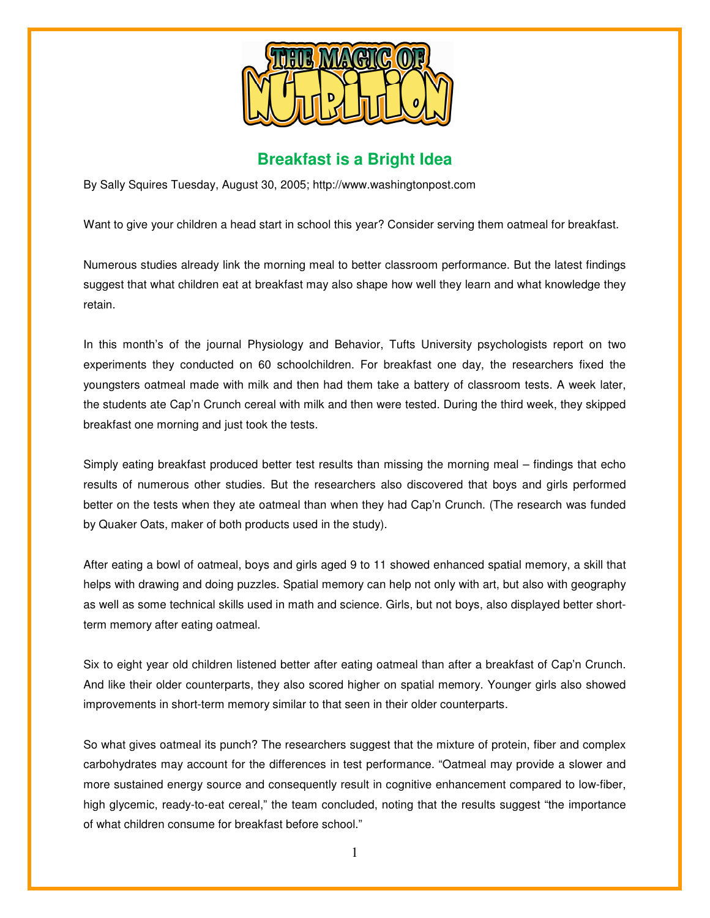

## **Breakfast is a Bright Idea**

By Sally Squires Tuesday, August 30, 2005; http://www.washingtonpost.com

Want to give your children a head start in school this year? Consider serving them oatmeal for breakfast.

Numerous studies already link the morning meal to better classroom performance. But the latest findings suggest that what children eat at breakfast may also shape how well they learn and what knowledge they retain.

In this month's of the journal Physiology and Behavior, Tufts University psychologists report on two experiments they conducted on 60 schoolchildren. For breakfast one day, the researchers fixed the youngsters oatmeal made with milk and then had them take a battery of classroom tests. A week later, the students ate Cap'n Crunch cereal with milk and then were tested. During the third week, they skipped breakfast one morning and just took the tests.

Simply eating breakfast produced better test results than missing the morning meal – findings that echo results of numerous other studies. But the researchers also discovered that boys and girls performed better on the tests when they ate oatmeal than when they had Cap'n Crunch. (The research was funded by Quaker Oats, maker of both products used in the study).

After eating a bowl of oatmeal, boys and girls aged 9 to 11 showed enhanced spatial memory, a skill that helps with drawing and doing puzzles. Spatial memory can help not only with art, but also with geography as well as some technical skills used in math and science. Girls, but not boys, also displayed better shortterm memory after eating oatmeal.

Six to eight year old children listened better after eating oatmeal than after a breakfast of Cap'n Crunch. And like their older counterparts, they also scored higher on spatial memory. Younger girls also showed improvements in short-term memory similar to that seen in their older counterparts.

So what gives oatmeal its punch? The researchers suggest that the mixture of protein, fiber and complex carbohydrates may account for the differences in test performance. "Oatmeal may provide a slower and more sustained energy source and consequently result in cognitive enhancement compared to low-fiber, high glycemic, ready-to-eat cereal," the team concluded, noting that the results suggest "the importance of what children consume for breakfast before school."